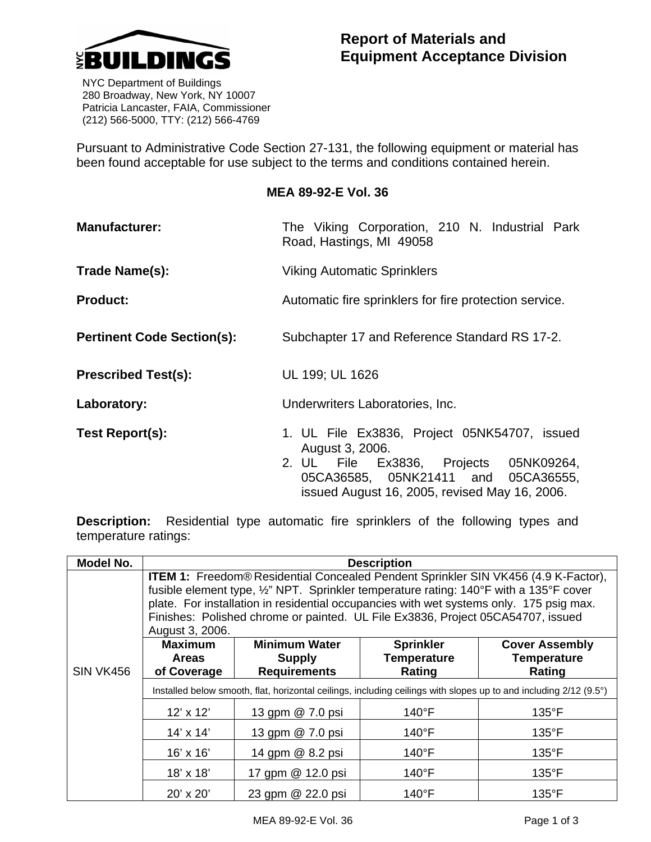

 NYC Department of Buildings 280 Broadway, New York, NY 10007 Patricia Lancaster, FAIA, Commissioner (212) 566-5000, TTY: (212) 566-4769

Pursuant to Administrative Code Section 27-131, the following equipment or material has been found acceptable for use subject to the terms and conditions contained herein.

## **MEA 89-92-E Vol. 36**

| <b>Manufacturer:</b>              | The Viking Corporation, 210 N. Industrial Park<br>Road, Hastings, MI 49058                                                                                                                        |  |  |  |  |  |
|-----------------------------------|---------------------------------------------------------------------------------------------------------------------------------------------------------------------------------------------------|--|--|--|--|--|
| Trade Name(s):                    | <b>Viking Automatic Sprinklers</b>                                                                                                                                                                |  |  |  |  |  |
| <b>Product:</b>                   | Automatic fire sprinklers for fire protection service.                                                                                                                                            |  |  |  |  |  |
| <b>Pertinent Code Section(s):</b> | Subchapter 17 and Reference Standard RS 17-2.                                                                                                                                                     |  |  |  |  |  |
| <b>Prescribed Test(s):</b>        | UL 199; UL 1626                                                                                                                                                                                   |  |  |  |  |  |
| Laboratory:                       | Underwriters Laboratories, Inc.                                                                                                                                                                   |  |  |  |  |  |
| Test Report(s):                   | 1. UL File Ex3836, Project 05NK54707, issued<br>August 3, 2006.<br>2. UL File Ex3836, Projects 05NK09264,<br>05CA36585, 05NK21411 and 05CA36555,<br>issued August 16, 2005, revised May 16, 2006. |  |  |  |  |  |

**Description:** Residential type automatic fire sprinklers of the following types and temperature ratings:

| Model No.        | <b>Description</b>                                                                                                                                                                                                                                                                                                                                                                   |                                     |                    |                       |  |  |  |  |
|------------------|--------------------------------------------------------------------------------------------------------------------------------------------------------------------------------------------------------------------------------------------------------------------------------------------------------------------------------------------------------------------------------------|-------------------------------------|--------------------|-----------------------|--|--|--|--|
|                  | <b>ITEM 1:</b> Freedom® Residential Concealed Pendent Sprinkler SIN VK456 (4.9 K-Factor),<br>fusible element type, 1/2" NPT. Sprinkler temperature rating: 140°F with a 135°F cover<br>plate. For installation in residential occupancies with wet systems only. 175 psig max.<br>Finishes: Polished chrome or painted. UL File Ex3836, Project 05CA54707, issued<br>August 3, 2006. |                                     |                    |                       |  |  |  |  |
| <b>Maximum</b>   |                                                                                                                                                                                                                                                                                                                                                                                      | <b>Minimum Water</b>                | <b>Sprinkler</b>   | <b>Cover Assembly</b> |  |  |  |  |
|                  | <b>Areas</b>                                                                                                                                                                                                                                                                                                                                                                         | <b>Supply</b>                       | <b>Temperature</b> | <b>Temperature</b>    |  |  |  |  |
| <b>SIN VK456</b> | of Coverage                                                                                                                                                                                                                                                                                                                                                                          | <b>Requirements</b>                 | Rating             | Rating                |  |  |  |  |
|                  | Installed below smooth, flat, horizontal ceilings, including ceilings with slopes up to and including 2/12 (9.5°)                                                                                                                                                                                                                                                                    |                                     |                    |                       |  |  |  |  |
|                  | $12' \times 12'$                                                                                                                                                                                                                                                                                                                                                                     | 13 gpm @ 7.0 psi<br>$140^{\circ}$ F |                    | $135^{\circ}$ F       |  |  |  |  |
|                  | $14' \times 14'$                                                                                                                                                                                                                                                                                                                                                                     | 13 gpm @ 7.0 psi                    | $140^{\circ}$ F    | $135^{\circ}$ F       |  |  |  |  |
|                  | 16' x 16'                                                                                                                                                                                                                                                                                                                                                                            | 14 gpm @ 8.2 psi                    | $140^{\circ}$ F    | $135^{\circ}$ F       |  |  |  |  |
|                  | 18' x 18'                                                                                                                                                                                                                                                                                                                                                                            | 17 gpm @ 12.0 psi                   | $140^{\circ}$ F    | $135^{\circ}$ F       |  |  |  |  |
|                  | 20' x 20'                                                                                                                                                                                                                                                                                                                                                                            | 23 gpm @ 22.0 psi                   | $140^{\circ}$ F    | $135^{\circ}$ F       |  |  |  |  |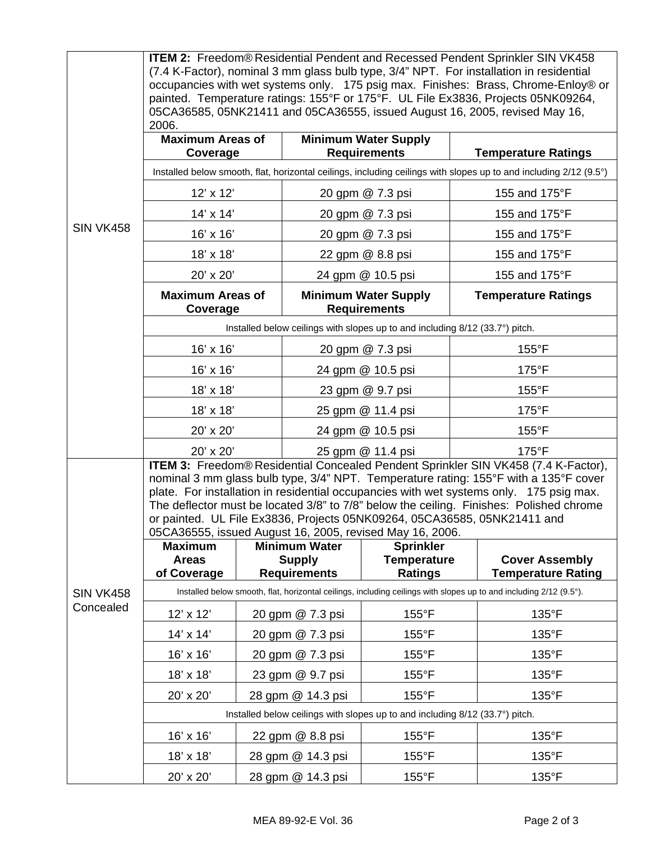|                  | <b>ITEM 2:</b> Freedom® Residential Pendent and Recessed Pendent Sprinkler SIN VK458<br>(7.4 K-Factor), nominal 3 mm glass bulb type, 3/4" NPT. For installation in residential<br>occupancies with wet systems only. 175 psig max. Finishes: Brass, Chrome-Enloy® or<br>painted. Temperature ratings: 155°F or 175°F. UL File Ex3836, Projects 05NK09264,<br>05CA36585, 05NK21411 and 05CA36555, issued August 16, 2005, revised May 16,<br>2006.                                                       |  |                                                              |                                                          |                 |                                                    |  |  |
|------------------|----------------------------------------------------------------------------------------------------------------------------------------------------------------------------------------------------------------------------------------------------------------------------------------------------------------------------------------------------------------------------------------------------------------------------------------------------------------------------------------------------------|--|--------------------------------------------------------------|----------------------------------------------------------|-----------------|----------------------------------------------------|--|--|
| <b>SIN VK458</b> | <b>Maximum Areas of</b><br>Coverage                                                                                                                                                                                                                                                                                                                                                                                                                                                                      |  |                                                              | <b>Minimum Water Supply</b><br><b>Requirements</b>       |                 | <b>Temperature Ratings</b>                         |  |  |
|                  | Installed below smooth, flat, horizontal ceilings, including ceilings with slopes up to and including 2/12 (9.5°)                                                                                                                                                                                                                                                                                                                                                                                        |  |                                                              |                                                          |                 |                                                    |  |  |
|                  | 12' x 12'                                                                                                                                                                                                                                                                                                                                                                                                                                                                                                |  | 20 gpm @ 7.3 psi                                             |                                                          |                 | 155 and 175°F                                      |  |  |
|                  | $14' \times 14'$                                                                                                                                                                                                                                                                                                                                                                                                                                                                                         |  | 20 gpm @ 7.3 psi                                             |                                                          |                 | 155 and 175°F                                      |  |  |
|                  | 16' x 16'                                                                                                                                                                                                                                                                                                                                                                                                                                                                                                |  | 20 gpm @ 7.3 psi                                             |                                                          |                 | 155 and 175°F                                      |  |  |
|                  | 18' x 18'                                                                                                                                                                                                                                                                                                                                                                                                                                                                                                |  | 22 gpm @ 8.8 psi                                             |                                                          |                 | 155 and 175°F                                      |  |  |
|                  | 20' x 20'                                                                                                                                                                                                                                                                                                                                                                                                                                                                                                |  | 24 gpm @ 10.5 psi                                            |                                                          |                 | 155 and 175°F                                      |  |  |
|                  | <b>Maximum Areas of</b><br>Coverage                                                                                                                                                                                                                                                                                                                                                                                                                                                                      |  | <b>Minimum Water Supply</b><br><b>Requirements</b>           |                                                          |                 | <b>Temperature Ratings</b>                         |  |  |
|                  | Installed below ceilings with slopes up to and including 8/12 (33.7°) pitch.                                                                                                                                                                                                                                                                                                                                                                                                                             |  |                                                              |                                                          |                 |                                                    |  |  |
|                  | 16' x 16'                                                                                                                                                                                                                                                                                                                                                                                                                                                                                                |  |                                                              | 20 gpm @ 7.3 psi                                         |                 | $155^{\circ}$ F                                    |  |  |
|                  | 16' x 16'                                                                                                                                                                                                                                                                                                                                                                                                                                                                                                |  | 24 gpm @ 10.5 psi                                            |                                                          | $175^{\circ}F$  |                                                    |  |  |
|                  | 18' x 18'                                                                                                                                                                                                                                                                                                                                                                                                                                                                                                |  | 23 gpm @ 9.7 psi                                             |                                                          | 155°F           |                                                    |  |  |
|                  | 18' x 18'                                                                                                                                                                                                                                                                                                                                                                                                                                                                                                |  | 25 gpm @ 11.4 psi                                            |                                                          |                 | $175^{\circ}F$                                     |  |  |
|                  | 20' x 20'                                                                                                                                                                                                                                                                                                                                                                                                                                                                                                |  | 24 gpm @ 10.5 psi                                            |                                                          | $155^{\circ}$ F |                                                    |  |  |
|                  | 20' x 20'                                                                                                                                                                                                                                                                                                                                                                                                                                                                                                |  | 25 gpm @ 11.4 psi                                            |                                                          |                 | $175^{\circ}F$                                     |  |  |
|                  | ITEM 3: Freedom® Residential Concealed Pendent Sprinkler SIN VK458 (7.4 K-Factor),<br>nominal 3 mm glass bulb type, 3/4" NPT. Temperature rating: 155°F with a 135°F cover<br>plate. For installation in residential occupancies with wet systems only. 175 psig max.<br>The deflector must be located 3/8" to 7/8" below the ceiling. Finishes: Polished chrome<br>or painted. UL File Ex3836, Projects 05NK09264, 05CA36585, 05NK21411 and<br>05CA36555, issued August 16, 2005, revised May 16, 2006. |  |                                                              |                                                          |                 |                                                    |  |  |
|                  | <b>Maximum</b><br><b>Areas</b><br>of Coverage                                                                                                                                                                                                                                                                                                                                                                                                                                                            |  | <b>Minimum Water</b><br><b>Supply</b><br><b>Requirements</b> | <b>Sprinkler</b><br><b>Temperature</b><br><b>Ratings</b> |                 | <b>Cover Assembly</b><br><b>Temperature Rating</b> |  |  |
| <b>SIN VK458</b> | Installed below smooth, flat, horizontal ceilings, including ceilings with slopes up to and including 2/12 (9.5°).                                                                                                                                                                                                                                                                                                                                                                                       |  |                                                              |                                                          |                 |                                                    |  |  |
| Concealed        | 12' x 12'                                                                                                                                                                                                                                                                                                                                                                                                                                                                                                |  | 20 gpm @ 7.3 psi                                             | $155^{\circ}$ F                                          |                 | 135°F                                              |  |  |
|                  | 14' x 14'                                                                                                                                                                                                                                                                                                                                                                                                                                                                                                |  | 20 gpm @ 7.3 psi                                             | $155^{\circ}$ F                                          |                 | 135°F                                              |  |  |
|                  | 16' x 16'                                                                                                                                                                                                                                                                                                                                                                                                                                                                                                |  | 20 gpm @ 7.3 psi                                             | $155^{\circ}$ F                                          |                 | $135^{\circ}F$                                     |  |  |
|                  | 18' x 18'                                                                                                                                                                                                                                                                                                                                                                                                                                                                                                |  | 23 gpm @ 9.7 psi                                             | $155^{\circ}$ F                                          |                 | 135°F                                              |  |  |
|                  | 20' x 20'                                                                                                                                                                                                                                                                                                                                                                                                                                                                                                |  | 28 gpm @ 14.3 psi                                            | $155^{\circ}$ F                                          |                 | 135°F                                              |  |  |
|                  | Installed below ceilings with slopes up to and including 8/12 (33.7°) pitch.                                                                                                                                                                                                                                                                                                                                                                                                                             |  |                                                              |                                                          |                 |                                                    |  |  |
|                  | 16' x 16'                                                                                                                                                                                                                                                                                                                                                                                                                                                                                                |  | 22 gpm @ 8.8 psi                                             | $155^{\circ}$ F                                          |                 | $135^{\circ}F$                                     |  |  |
|                  | 18' x 18'                                                                                                                                                                                                                                                                                                                                                                                                                                                                                                |  | 28 gpm @ 14.3 psi                                            | $155^{\circ}$ F                                          |                 | 135°F                                              |  |  |
|                  | 20' x 20'                                                                                                                                                                                                                                                                                                                                                                                                                                                                                                |  | 28 gpm @ 14.3 psi                                            | $155^{\circ}$ F                                          |                 | $135^{\circ}F$                                     |  |  |